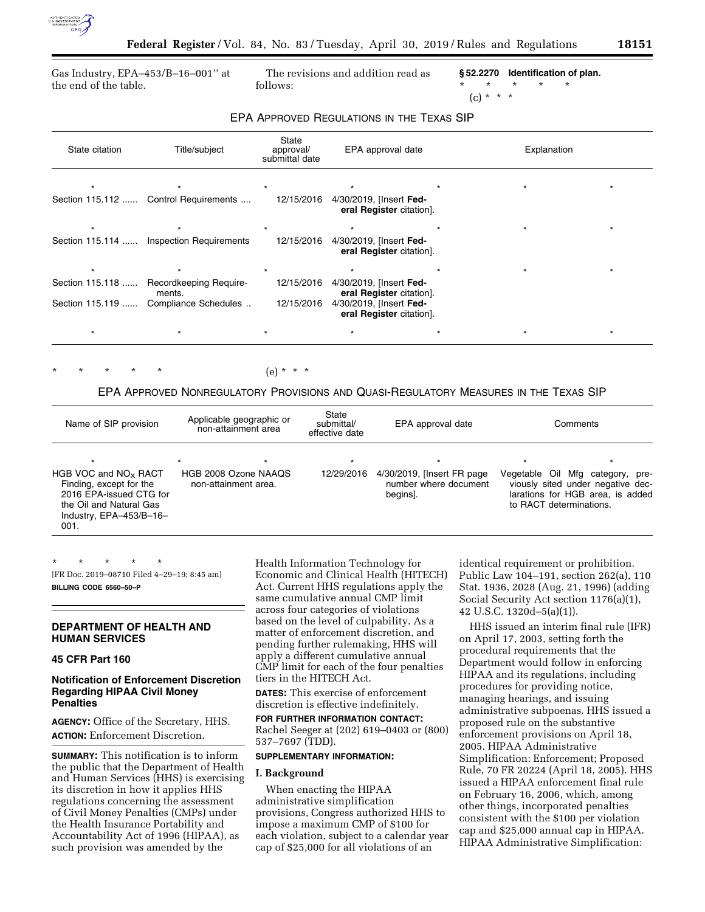

Gas Industry, EPA–453/B–16–001'' at the end of the table.

The revisions and addition read as follows:

**§ 52.2270 Identification of plan.**  \* \* \* \* \*

# (c) \* \* \*

| State citation  | Title/subject                         | State<br>approval/<br>submittal date | EPA approval date                                   | Explanation |         |
|-----------------|---------------------------------------|--------------------------------------|-----------------------------------------------------|-------------|---------|
|                 |                                       |                                      |                                                     |             |         |
|                 | Section 115.112  Control Requirements | 12/15/2016                           | 4/30/2019, [Insert Fed-<br>eral Register citation]. |             |         |
| $\star$         |                                       |                                      | $\star$                                             |             | $\star$ |
| Section 115.114 | <b>Inspection Requirements</b>        | 12/15/2016                           | 4/30/2019, [Insert Fed-<br>eral Register citation]. |             |         |
|                 |                                       |                                      |                                                     |             |         |
| Section 115.118 | Recordkeeping Require-<br>ments.      | 12/15/2016                           | 4/30/2019, [Insert Fed-<br>eral Register citation]. |             |         |
| Section 115.119 | Compliance Schedules                  | 12/15/2016                           | 4/30/2019, [Insert Fed-<br>eral Register citation]. |             |         |
|                 |                                       |                                      |                                                     |             |         |

## EPA APPROVED REGULATIONS IN THE TEXAS SIP

 $(e) * * * *$ 

# EPA APPROVED NONREGULATORY PROVISIONS AND QUASI-REGULATORY MEASURES IN THE TEXAS SIP

| Name of SIP provision                                                                                                                                 | Applicable geographic or<br>non-attainment area | State<br>submittal/<br>effective date | EPA approval date                                                | Comments                                                                                                                                        |
|-------------------------------------------------------------------------------------------------------------------------------------------------------|-------------------------------------------------|---------------------------------------|------------------------------------------------------------------|-------------------------------------------------------------------------------------------------------------------------------------------------|
| $\star$<br>HGB VOC and $NOx$ RACT<br>Finding, except for the<br>2016 EPA-issued CTG for<br>the Oil and Natural Gas<br>Industry, EPA-453/B-16-<br>001. | HGB 2008 Ozone NAAQS<br>non-attainment area.    | $\star$<br>12/29/2016                 | 4/30/2019, [Insert FR page]<br>number where document<br>begins]. | $\star$<br>Vegetable Oil Mfg category, pre-<br>viously sited under negative dec-<br>larations for HGB area, is added<br>to RACT determinations. |

\* \* \* \* \* [FR Doc. 2019–08710 Filed 4–29–19; 8:45 am] **BILLING CODE 6560–50–P** 

# **DEPARTMENT OF HEALTH AND HUMAN SERVICES**

# **45 CFR Part 160**

### **Notification of Enforcement Discretion Regarding HIPAA Civil Money Penalties**

**AGENCY:** Office of the Secretary, HHS. **ACTION:** Enforcement Discretion.

**SUMMARY:** This notification is to inform the public that the Department of Health and Human Services (HHS) is exercising its discretion in how it applies HHS regulations concerning the assessment of Civil Money Penalties (CMPs) under the Health Insurance Portability and Accountability Act of 1996 (HIPAA), as such provision was amended by the

Health Information Technology for Economic and Clinical Health (HITECH) Act. Current HHS regulations apply the same cumulative annual CMP limit across four categories of violations based on the level of culpability. As a matter of enforcement discretion, and pending further rulemaking, HHS will apply a different cumulative annual CMP limit for each of the four penalties tiers in the HITECH Act.

**DATES:** This exercise of enforcement discretion is effective indefinitely.

#### **FOR FURTHER INFORMATION CONTACT:**

Rachel Seeger at (202) 619–0403 or (800) 537–7697 (TDD).

### **SUPPLEMENTARY INFORMATION:**

#### **I. Background**

When enacting the HIPAA administrative simplification provisions, Congress authorized HHS to impose a maximum CMP of \$100 for each violation, subject to a calendar year cap of \$25,000 for all violations of an

identical requirement or prohibition. Public Law 104–191, section 262(a), 110 Stat. 1936, 2028 (Aug. 21, 1996) (adding Social Security Act section 1176(a)(1), 42 U.S.C. 1320d–5(a)(1)).

HHS issued an interim final rule (IFR) on April 17, 2003, setting forth the procedural requirements that the Department would follow in enforcing HIPAA and its regulations, including procedures for providing notice, managing hearings, and issuing administrative subpoenas. HHS issued a proposed rule on the substantive enforcement provisions on April 18, 2005. HIPAA Administrative Simplification: Enforcement; Proposed Rule, 70 FR 20224 (April 18, 2005). HHS issued a HIPAA enforcement final rule on February 16, 2006, which, among other things, incorporated penalties consistent with the \$100 per violation cap and \$25,000 annual cap in HIPAA. HIPAA Administrative Simplification: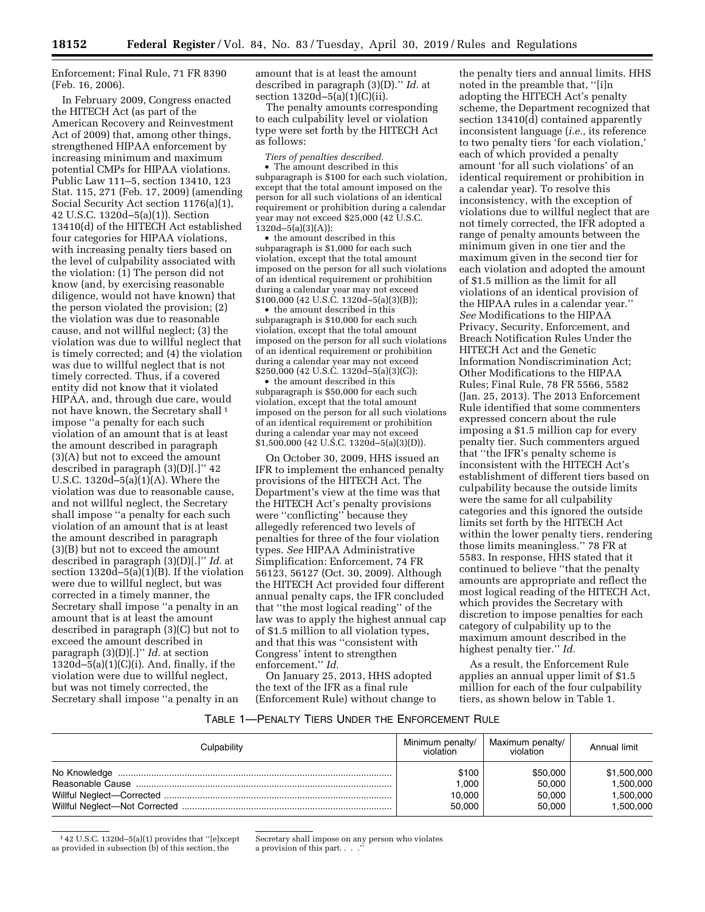Enforcement; Final Rule, 71 FR 8390 (Feb. 16, 2006).

In February 2009, Congress enacted the HITECH Act (as part of the American Recovery and Reinvestment Act of 2009) that, among other things, strengthened HIPAA enforcement by increasing minimum and maximum potential CMPs for HIPAA violations. Public Law 111–5, section 13410, 123 Stat. 115, 271 (Feb. 17, 2009) (amending Social Security Act section 1176(a)(1), 42 U.S.C. 1320d–5(a)(1)). Section 13410(d) of the HITECH Act established four categories for HIPAA violations, with increasing penalty tiers based on the level of culpability associated with the violation: (1) The person did not know (and, by exercising reasonable diligence, would not have known) that the person violated the provision; (2) the violation was due to reasonable cause, and not willful neglect; (3) the violation was due to willful neglect that is timely corrected; and (4) the violation was due to willful neglect that is not timely corrected. Thus, if a covered entity did not know that it violated HIPAA, and, through due care, would not have known, the Secretary shall 1 impose ''a penalty for each such violation of an amount that is at least the amount described in paragraph (3)(A) but not to exceed the amount described in paragraph (3)(D)[.]'' 42 U.S.C. 1320d $-5(a)(1)(A)$ . Where the violation was due to reasonable cause, and not willful neglect, the Secretary shall impose ''a penalty for each such violation of an amount that is at least the amount described in paragraph (3)(B) but not to exceed the amount described in paragraph (3)(D)[.]'' *Id.* at section 1320d–5(a)(1)(B). If the violation were due to willful neglect, but was corrected in a timely manner, the Secretary shall impose ''a penalty in an amount that is at least the amount described in paragraph (3)(C) but not to exceed the amount described in paragraph (3)(D)[.]'' *Id.* at section  $1320d-5(a)(1)(C)(i)$ . And, finally, if the violation were due to willful neglect, but was not timely corrected, the Secretary shall impose ''a penalty in an

amount that is at least the amount described in paragraph (3)(D).'' *Id.* at section 1320d–5(a)(1)(C)(ii).

The penalty amounts corresponding to each culpability level or violation type were set forth by the HITECH Act as follows:

*Tiers of penalties described.* 

• The amount described in this subparagraph is \$100 for each such violation, except that the total amount imposed on the person for all such violations of an identical requirement or prohibition during a calendar year may not exceed \$25,000 (42 U.S.C.  $1320d - 5(a)(3)(A);$ 

• the amount described in this subparagraph is \$1,000 for each such violation, except that the total amount imposed on the person for all such violations of an identical requirement or prohibition during a calendar year may not exceed \$100,000 (42 U.S.C. 1320d–5(a)(3)(B));

• the amount described in this subparagraph is \$10,000 for each such violation, except that the total amount imposed on the person for all such violations of an identical requirement or prohibition during a calendar year may not exceed \$250,000 (42 U.S.C. 1320d–5(a)(3)(C));

• the amount described in this subparagraph is \$50,000 for each such violation, except that the total amount imposed on the person for all such violations of an identical requirement or prohibition during a calendar year may not exceed \$1,500,000 (42 U.S.C. 1320d–5(a)(3)(D)).

On October 30, 2009, HHS issued an IFR to implement the enhanced penalty provisions of the HITECH Act. The Department's view at the time was that the HITECH Act's penalty provisions were ''conflicting'' because they allegedly referenced two levels of penalties for three of the four violation types. *See* HIPAA Administrative Simplification: Enforcement, 74 FR 56123, 56127 (Oct. 30, 2009). Although the HITECH Act provided four different annual penalty caps, the IFR concluded that ''the most logical reading'' of the law was to apply the highest annual cap of \$1.5 million to all violation types, and that this was ''consistent with Congress' intent to strengthen enforcement.'' *Id.* 

On January 25, 2013, HHS adopted the text of the IFR as a final rule (Enforcement Rule) without change to

the penalty tiers and annual limits. HHS noted in the preamble that, ''[i]n adopting the HITECH Act's penalty scheme, the Department recognized that section 13410(d) contained apparently inconsistent language (*i.e.,* its reference to two penalty tiers 'for each violation,' each of which provided a penalty amount 'for all such violations' of an identical requirement or prohibition in a calendar year). To resolve this inconsistency, with the exception of violations due to willful neglect that are not timely corrected, the IFR adopted a range of penalty amounts between the minimum given in one tier and the maximum given in the second tier for each violation and adopted the amount of \$1.5 million as the limit for all violations of an identical provision of the HIPAA rules in a calendar year.'' *See* Modifications to the HIPAA Privacy, Security, Enforcement, and Breach Notification Rules Under the HITECH Act and the Genetic Information Nondiscrimination Act; Other Modifications to the HIPAA Rules; Final Rule, 78 FR 5566, 5582 (Jan. 25, 2013). The 2013 Enforcement Rule identified that some commenters expressed concern about the rule imposing a \$1.5 million cap for every penalty tier. Such commenters argued that ''the IFR's penalty scheme is inconsistent with the HITECH Act's establishment of different tiers based on culpability because the outside limits were the same for all culpability categories and this ignored the outside limits set forth by the HITECH Act within the lower penalty tiers, rendering those limits meaningless.'' 78 FR at 5583. In response, HHS stated that it continued to believe ''that the penalty amounts are appropriate and reflect the most logical reading of the HITECH Act, which provides the Secretary with discretion to impose penalties for each category of culpability up to the maximum amount described in the highest penalty tier.'' *Id.* 

As a result, the Enforcement Rule applies an annual upper limit of \$1.5 million for each of the four culpability tiers, as shown below in Table 1.

## TABLE 1—PENALTY TIERS UNDER THE ENFORCEMENT RULE

| Culpability | Minimum penalty/<br>violation | Maximum penalty/<br>violation | Annual limit |
|-------------|-------------------------------|-------------------------------|--------------|
|             | \$100                         | \$50,000                      | \$1,500,000  |
|             | 1.000                         | 50,000                        | 1,500,000    |
|             | 10.000                        | 50,000                        | 1,500,000    |
|             | 50,000                        | 50,000                        | 1,500,000    |

1 42 U.S.C. 1320d–5(a)(1) provides that ''[e]xcept as provided in subsection (b) of this section, the

Secretary shall impose on any person who violates a provision of this part. . . .